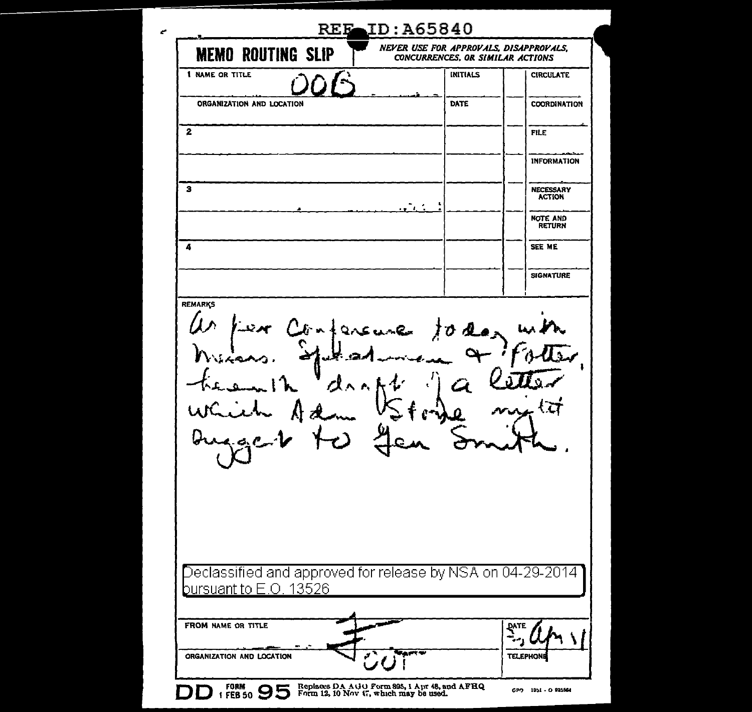| <b>MEMO ROUTING SLIP</b>                                                                | NEVER USE FOR APPROVALS, DISAPPROVALS,<br>CONCURRENCES, OR SIMILAR ACTIONS |                                  |
|-----------------------------------------------------------------------------------------|----------------------------------------------------------------------------|----------------------------------|
| <b>1 NAME OR TITLE</b>                                                                  | INITIALS                                                                   | <b>CIRCULATE</b>                 |
| ORGANIZATION AND LOCATION                                                               | DATE                                                                       | COORDINATION                     |
| 2                                                                                       |                                                                            | <b>FILE</b>                      |
|                                                                                         |                                                                            | <b>INFORMATION</b>               |
| з                                                                                       |                                                                            | NECESSARY<br><b>ACTION</b>       |
|                                                                                         |                                                                            | <b>NOTE AND</b><br><b>RETURN</b> |
| 4                                                                                       |                                                                            | SEE ME                           |
|                                                                                         |                                                                            | <b>SIGNATURE</b>                 |
| Lex Confers<br>ارھ بل<br>パハハ                                                            | une today<br>k,                                                            |                                  |
|                                                                                         |                                                                            |                                  |
| $\overline{D}$ eclassified and approved for release by NSA on 04-29-2014 $\overline{D}$ |                                                                            |                                  |
|                                                                                         |                                                                            |                                  |
| bursuant to E.O. 13526<br>FROM NAME OR TITLE                                            |                                                                            | PATE                             |